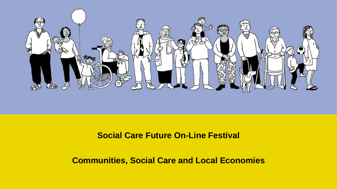

#### **Social Care Future On-Line Festival**

#### **Communities, Social Care and Local Economies**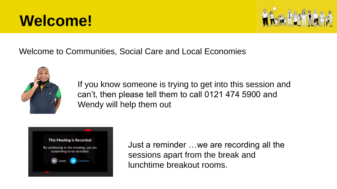# **Welcome!**



#### Welcome to Communities, Social Care and Local Economies



If you know someone is trying to get into this session and can't, then please tell them to call 0121 474 5900 and Wendy will help them out



Just a reminder …we are recording all the sessions apart from the break and lunchtime breakout rooms.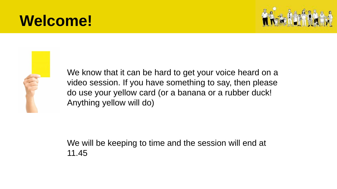# **Welcome!**





We know that it can be hard to get your voice heard on a video session. If you have something to say, then please do use your yellow card (or a banana or a rubber duck! Anything yellow will do)

We will be keeping to time and the session will end at 11.45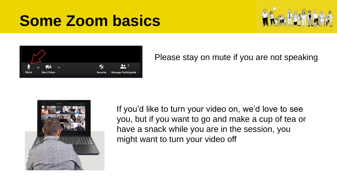



Please stay on mute if you are not speaking



If you'd like to turn your video on, we'd love to see you, but if you want to go and make a cup of tea or have a snack while you are in the session, you might want to turn your video off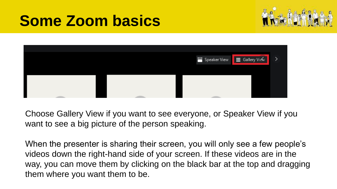



Choose Gallery View if you want to see everyone, or Speaker View if you want to see a big picture of the person speaking.

When the presenter is sharing their screen, you will only see a few people's videos down the right-hand side of your screen. If these videos are in the way, you can move them by clicking on the black bar at the top and dragging them where you want them to be.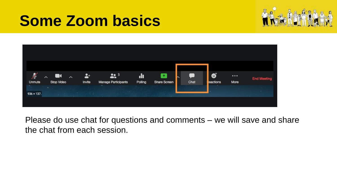



Please do use chat for questions and comments – we will save and share the chat from each session.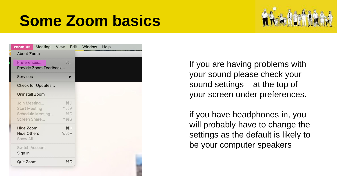

| zoom.us                                              | Meeting          | View       | Edit                                                          | Window | Help |  |
|------------------------------------------------------|------------------|------------|---------------------------------------------------------------|--------|------|--|
| <b>About Zoom</b>                                    |                  |            |                                                               |        |      |  |
| ₩,<br>Preferences<br>Provide Zoom Feedback           |                  |            |                                                               |        |      |  |
| <b>Services</b>                                      |                  |            |                                                               |        |      |  |
| <b>Check for Updates</b>                             |                  |            |                                                               |        |      |  |
| <b>Uninstall Zoom</b>                                |                  |            |                                                               |        |      |  |
| Join Meeting<br><b>Start Meeting</b><br>Screen Share | Schedule Meeting |            | <b>XXJ</b><br>$\mathcal{W}$<br><b>XD</b><br>$^{\wedge}$ $\#S$ |        |      |  |
| Hide Zoom<br><b>Hide Others</b><br>Show All          |                  | <b>N%7</b> | H                                                             |        |      |  |
| <b>Switch Account</b><br>Sign In                     |                  |            |                                                               |        |      |  |
| Quit Zoom<br><b>RQ</b>                               |                  |            |                                                               |        |      |  |
|                                                      |                  |            |                                                               |        |      |  |

If you are having problems with your sound please check your sound settings – at the top of your screen under preferences.

if you have headphones in, you will probably have to change the settings as the default is likely to be your computer speakers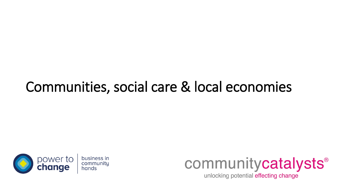# Communities, social care & local economies



communitycatalysts®

unlocking potential effecting change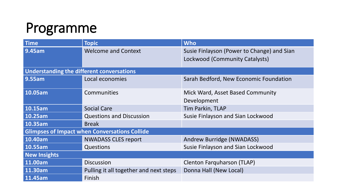#### Programme

| <b>Time</b>                                          | <b>Topic</b>                           | <b>Who</b>                                                                   |  |  |  |  |
|------------------------------------------------------|----------------------------------------|------------------------------------------------------------------------------|--|--|--|--|
| 9.45am                                               | <b>Welcome and Context</b>             | Susie Finlayson (Power to Change) and Sian<br>Lockwood (Community Catalysts) |  |  |  |  |
| Understanding the different conversations            |                                        |                                                                              |  |  |  |  |
| 9.55am                                               | Local economies                        | Sarah Bedford, New Economic Foundation                                       |  |  |  |  |
| 10.05am                                              | Communities                            | Mick Ward, Asset Based Community<br>Development                              |  |  |  |  |
| 10.15am                                              | <b>Social Care</b>                     | Tim Parkin, TLAP                                                             |  |  |  |  |
| 10.25am                                              | <b>Questions and Discussion</b>        | Susie Finlayson and Sian Lockwood                                            |  |  |  |  |
| 10.35am                                              | <b>Break</b>                           |                                                                              |  |  |  |  |
| <b>Glimpses of Impact when Conversations Collide</b> |                                        |                                                                              |  |  |  |  |
| 10.40am                                              | <b>NWADASS CLES report</b>             | Andrew Burridge (NWADASS)                                                    |  |  |  |  |
| 10.55am                                              | Questions                              | Susie Finlayson and Sian Lockwood                                            |  |  |  |  |
| <b>New Insights</b>                                  |                                        |                                                                              |  |  |  |  |
| 11.00am                                              | <b>Discussion</b>                      | <b>Clenton Farquharson (TLAP)</b>                                            |  |  |  |  |
| 11.30am                                              | Pulling it all together and next steps | Donna Hall (New Local)                                                       |  |  |  |  |
| 11.45am                                              | Finish                                 |                                                                              |  |  |  |  |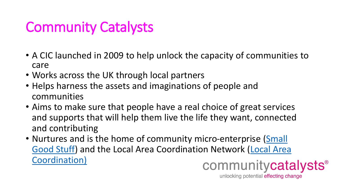#### Community Catalysts

- A CIC launched in 2009 to help unlock the capacity of communities to care
- Works across the UK through local partners
- Helps harness the assets and imaginations of people and communities
- Aims to make sure that people have a real choice of great services and supports that will help them live the life they want, connected and contributing
- Nurtures and is the home of community micro-enterprise (Small [Good Stuff\) and the Local Area Coordination Network \(Local Area](https://lacnetwork.org/) Coordination)communitycatalysts<sup>®</sup>

unlocking potential effecting change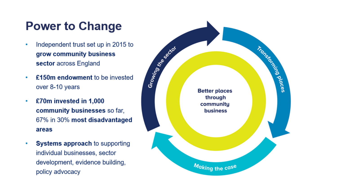#### **Power to Change**

- Independent trust set up in 2015 to grow community business sector across England
- £150m endowment to be invested  $\bullet$ over 8-10 years
- £70m invested in 1,000  $\bullet$ community businesses so far, 67% in 30% most disadvantaged areas
- **Systems approach to supporting**  $\bullet$ individual businesses, sector development, evidence building, policy advocacy

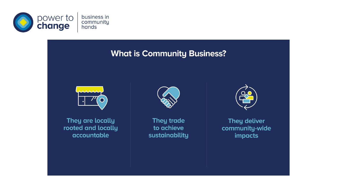

#### **What is Community Business?**



They are locally rooted and locally accountable



They trade to achieve sustainability



They deliver community-wide impacts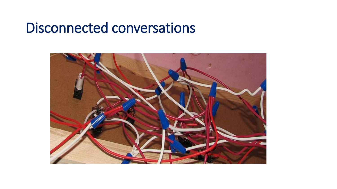#### Disconnected conversations

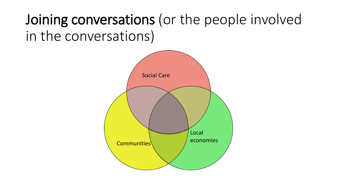# Joining conversations (or the people involved in the conversations)

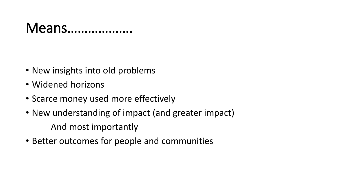#### Means……………….

- New insights into old problems
- Widened horizons
- Scarce money used more effectively
- New understanding of impact (and greater impact) And most importantly
- Better outcomes for people and communities